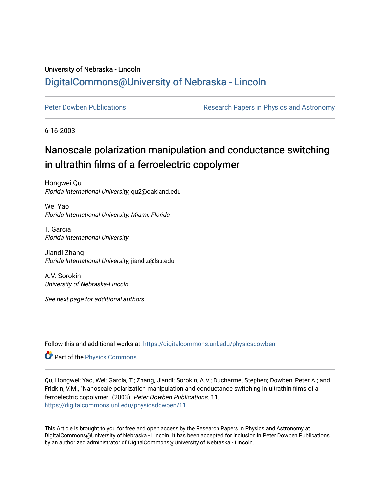## University of Nebraska - Lincoln [DigitalCommons@University of Nebraska - Lincoln](https://digitalcommons.unl.edu/)

[Peter Dowben Publications](https://digitalcommons.unl.edu/physicsdowben) **Research Papers in Physics and Astronomy** 

6-16-2003

## Nanoscale polarization manipulation and conductance switching in ultrathin films of a ferroelectric copolymer

Hongwei Qu Florida International University, qu2@oakland.edu

Wei Yao Florida International University, Miami, Florida

T. Garcia Florida International University

Jiandi Zhang Florida International University, jiandiz@lsu.edu

A.V. Sorokin University of Nebraska-Lincoln

See next page for additional authors

Follow this and additional works at: [https://digitalcommons.unl.edu/physicsdowben](https://digitalcommons.unl.edu/physicsdowben?utm_source=digitalcommons.unl.edu%2Fphysicsdowben%2F11&utm_medium=PDF&utm_campaign=PDFCoverPages) 

Part of the [Physics Commons](http://network.bepress.com/hgg/discipline/193?utm_source=digitalcommons.unl.edu%2Fphysicsdowben%2F11&utm_medium=PDF&utm_campaign=PDFCoverPages)

Qu, Hongwei; Yao, Wei; Garcia, T.; Zhang, Jiandi; Sorokin, A.V.; Ducharme, Stephen; Dowben, Peter A.; and Fridkin, V.M., "Nanoscale polarization manipulation and conductance switching in ultrathin films of a ferroelectric copolymer" (2003). Peter Dowben Publications. 11. [https://digitalcommons.unl.edu/physicsdowben/11](https://digitalcommons.unl.edu/physicsdowben/11?utm_source=digitalcommons.unl.edu%2Fphysicsdowben%2F11&utm_medium=PDF&utm_campaign=PDFCoverPages)

This Article is brought to you for free and open access by the Research Papers in Physics and Astronomy at DigitalCommons@University of Nebraska - Lincoln. It has been accepted for inclusion in Peter Dowben Publications by an authorized administrator of DigitalCommons@University of Nebraska - Lincoln.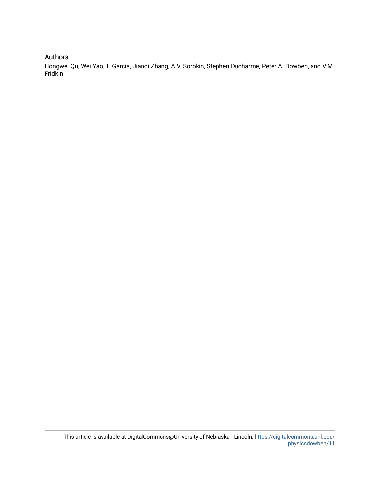## Authors

Hongwei Qu, Wei Yao, T. Garcia, Jiandi Zhang, A.V. Sorokin, Stephen Ducharme, Peter A. Dowben, and V.M. Fridkin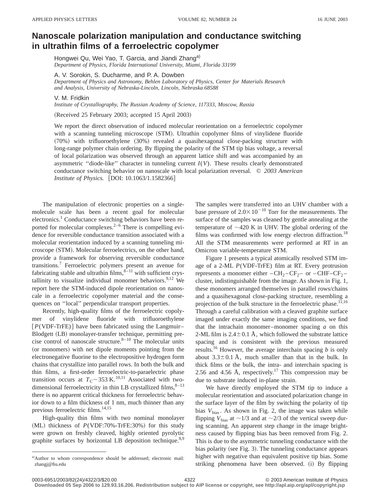## **Nanoscale polarization manipulation and conductance switching in ultrathin films of a ferroelectric copolymer**

Hongwei Qu, Wei Yao, T. Garcia, and Jiandi Zhang<sup>a)</sup> *Department of Physics, Florida International University, Miami, Florida 33199*

A. V. Sorokin, S. Ducharme, and P. A. Dowben *Department of Physics and Astronomy, Behlen Laboratory of Physics, Center for Materials Research*

*and Analysis, University of Nebraska-Lincoln, Lincoln, Nebraska 68588*

V. M. Fridkin

*Institute of Crystallography, The Russian Academy of Science, 117333, Moscow, Russia*

(Received 25 February 2003; accepted 15 April 2003)

We report the direct observation of induced molecular reorientation on a ferroelectric copolymer with a scanning tunneling microscope (STM). Ultrathin copolymer films of vinylidene fluoride ~70%! with trifluoroethylene ~30%! revealed a quasihexagonal close-packing structure with long-range polymer chain ordering. By flipping the polarity of the STM tip bias voltage, a reversal of local polarization was observed through an apparent lattice shift and was accompanied by an asymmetric "diode-like" character in tunneling current  $I(V)$ . These results clearly demonstrated conductance switching behavior on nanoscale with local polarization reversal. © *2003 American Institute of Physics.* [DOI: 10.1063/1.1582366]

The manipulation of electronic properties on a singlemolecule scale has been a recent goal for molecular electronics.<sup>1</sup> Conductance switching behaviors have been reported for molecular complexes. $2-6$  There is compelling evidence for reversible conductance transition associated with a molecular reorientation induced by a scanning tunneling microscope (STM). Molecular ferroelectrics, on the other hand, provide a framework for observing reversible conductance transitions.<sup>7</sup> Ferroelectric polymers present an avenue for fabricating stable and ultrathin films, $8-11$  with sufficient crystallinity to visualize individual monomer behaviors. $9,12$  We report here the STM-induced dipole reorientation on nanoscale in a ferroelectric copolymer material and the consequences on ''local'' perpendicular transport properties.

Recently, high-quality films of the ferroelectric copolymer of vinylidene fluoride with trifluoroethylene  $[P(VDF-TrFE)]$  have been fabricated using the Langmuir– Blodgett (LB) monolayer-transfer technique, permitting precise control of nanoscale structure. $8-10$  The molecular units (or monomers) with net dipole moments pointing from the electronegative fluorine to the electropositive hydrogen form chains that crystallize into parallel rows. In both the bulk and thin films, a first-order ferroelectric-to-paraelectric phase transition occurs at  $T_{\rm C}$  ~353 K.<sup>10,11</sup> Associated with twodimensional ferroelectricity in thin LB crystallized films,  $8-13$ there is no apparent critical thickness for ferroelectric behavior down to a film thickness of 1 nm, much thinner than any previous ferroelectric films.<sup>14,15</sup>

High-quality thin films with two nominal monolayer  $(ML)$  thickness of  $P(VDF:70\% - TrFE:30\%)$  for this study were grown on freshly cleaved, highly oriented pyrolytic graphite surfaces by horizontal LB deposition technique.<sup>8,9</sup> The samples were transferred into an UHV chamber with a base pressure of  $2.0\times10^{-10}$  Torr for the measurements. The surface of the samples was cleaned by gentle annealing at the temperature of  $\sim$ 420 K in UHV. The global ordering of the films was confirmed with low energy electron diffraction.<sup>18</sup> All the STM measurements were performed at RT in an Omicron variable-temperature STM.

Figure 1 presents a typical atomically resolved STM image of a 2-ML *P*(VDF-TrFE) film at RT. Every protrusion represents a monomer either  $-CH_2-CF_2$ – or  $-CHF-CF_2$ – cluster, indistinguishable from the image. As shown in Fig. 1, these monomers arranged themselves in parallel rows/chains and a quasihexagonal close-packing structure, resembling a projection of the bulk structure in the ferroelectric phase.<sup>11,16</sup> Through a careful calibration with a cleaved graphite surface imaged under exactly the same imaging conditions, we find that the intrachain monomer–monomer spacing *a* on this 2-ML film is  $2.4\pm0.1$  Å, which followed the substrate lattice spacing and is consistent with the previous measured results.<sup>16</sup> However, the average interchain spacing  $b$  is only about  $3.3\pm0.1$  Å, much smaller than that in the bulk. In thick films or the bulk, the intra- and interchain spacing is 2.56 and 4.56 Å, respectively.<sup>17</sup> This compression may be due to substrate induced in-plane strain.

We have directly employed the STM tip to induce a molecular reorientation and associated polarization change in the surface layer of the film by switching the polarity of tip bias  $V_{bias}$ . As shown in Fig. 2, the image was taken while flipping  $V_{bias}$  at  $\sim$  1/3 and at  $\sim$  2/3 of the vertical sweep during scanning. An apparent step change in the image brightness caused by flipping bias has been removed from Fig. 2. This is due to the asymmetric tunneling conductance with the bias polarity (see Fig. 3). The tunneling conductance appears higher with negative than equivalent positive tip bias. Some striking phenomena have been observed. (i) By flipping

a)Author to whom correspondence should be addressed; electronic mail: zhangj@fiu.edu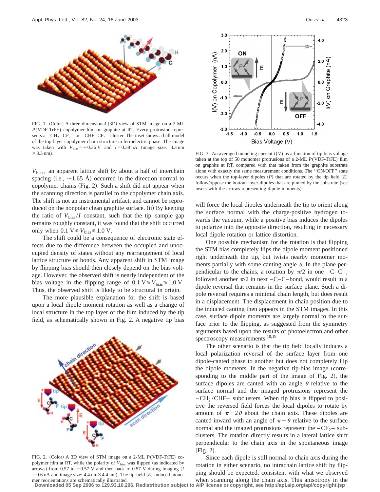

FIG. 1. (Color) A three-dimensional (3D) view of STM image on a 2-ML *P*(VDF-TrFE) copolymer film on graphite at RT. Every protrusion represents a  $-CH_2-CF_2$  – or  $-CHF-CF_2$  – cluster. The inset shows a ball model of the top-layer copolymer chain structure in ferroelectric phase. The image was taken with  $V_{bias} = -0.36$  V and  $I = 0.38$  nA (image size: 3.3 nm  $\times$ 3.3 nm).

*V*bias , an apparent lattice shift by about a half of interchain spacing (i.e.,  $\sim$ 1.65 Å) occurred in the direction normal to copolymer chains (Fig. 2). Such a shift did not appear when the scanning direction is parallel to the copolymer chain axis. The shift is not an instrumental artifact, and cannot be reproduced on the nonpolar clean graphite surface. (ii) By keeping the ratio of  $V_{\text{bias}}/I$  constant, such that the tip–sample gap remains roughly constant, it was found that the shift occurred only when 0.1  $V \leq V_{bias} \leq 1.0$  V.

The shift could be a consequence of electronic state effects due to the difference between the occupied and unoccupied density of states without any rearrangement of local lattice structure or bonds. Any apparent shift in STM image by flipping bias should then closely depend on the bias voltage. However, the observed shift is nearly independent of the bias voltage in the flipping range of 0.1  $V \leq V_{bias} \leq 1.0 V$ . Thus, the observed shift is likely to be structural in origin.

The more plausible explanation for the shift is based upon a local dipole moment rotation as well as a change of local structure in the top layer of the film induced by the tip field, as schematically shown in Fig. 2. A negative tip bias



FIG. 2. (Color) A 3D view of STM image on a 2-ML *P*(VDF-TrFE) copolymer film at RT, while the polarity of  $V_{bias}$  was flipped (as indicated by arrows) from 0.57 to  $-0.57$  V and then back to 0.57 V during imaging  $(I)$  $= 0.6$  nA and image size: 4.4 nm×4.4 nm). The tip-field  $(E)$ -induced monomer reorientations are schematically illustrated.



FIG. 3. An averaged tunneling current *I*(*V*) as a function of tip bias voltage taken at the top of 50 monomer protrusions of a 2-ML *P*(VDF-TrFE) film on graphite at RT, compared with that taken from the graphite substrate alone with exactly the same measurement conditions. The ''ON/OFF'' state occurs when the top-layer dipoles  $(P)$  that are rotated by the tip field  $(E)$ follow/oppose the bottom-layer dipoles that are pinned by the substrate (see insets with the arrows representing dipole moments).

will force the local dipoles underneath the tip to orient along the surface normal with the charge-positive hydrogen towards the vacuum, while a positive bias induces the dipoles to polarize into the opposite direction, resulting in necessary local dipole rotation or lattice distortion.

One possible mechanism for the rotation is that flipping the STM bias completely flips the dipole moment positioned right underneath the tip, but twists nearby monomer moments partially with some canting angle  $\theta$ . In the plane perpendicular to the chains, a rotation by  $\pi/2$  in one –C–C–, followed another  $\pi/2$  in next –C–C–bond, would result in a dipole reversal that remains in the surface plane. Such a dipole reversal requires a minimal chain length, but does result in a displacement. The displacement in chain position due to the induced canting then appears in the STM images. In this case, surface dipole moments are largely normal to the surface prior to the flipping, as suggested from the symmetry arguments based upon the results of photoelectron and other spectroscopy measurements.<sup>18,19</sup>

The other scenario is that the tip field locally induces a local polarization reversal of the surface layer from one dipole-canted phase to another but does not completely flip the dipole moments. In the negative tip-bias image (corresponding to the middle part of the image of Fig. 2), the surface dipoles are canted with an angle  $\theta$  relative to the surface normal and the imaged protrusions represent the  $-CH<sub>2</sub>/CHF-$  subclusters. When tip bias is flipped to positive the reversed field forces the local dipoles to rotate by amount of  $\pi-2\theta$  about the chain axis. These dipoles are canted inward with an angle of  $\pi - \theta$  relative to the surface normal and the imaged protrusions represent the  $-CF_2$  – subclusters. The rotation directly results in a lateral lattice shift perpendicular to the chain axis in the spontaneous image  $(Fig. 2).$ 

Since each dipole is still normal to chain axis during the rotation in either scenario, no intrachain lattice shift by flipping should be expected, consistent with what we observed when scanning along the chain axis. This anisotropy in the

**Downloaded 05 Sep 2006 to 129.93.16.206. Redistribution subject to AIP license or copyright, see http://apl.aip.org/apl/copyright.jsp**